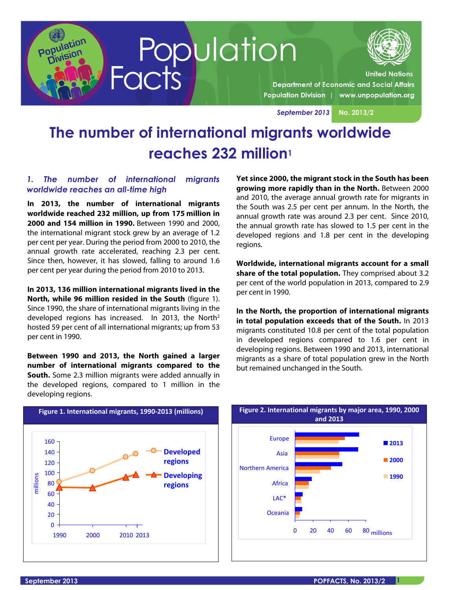



**United Nations** 

**Department of Economic and Social Affairs** Population Division | www.unpopulation.org

*September 2013* **No. 2013/2** 

# **The number of international migrants worldwide reaches 232 million1**

### *1. The number of international migrants worldwide reaches an all-time high*

**In 2013, the number of international migrants worldwide reached 232 million, up from 175 million in 2000 and 154 million in 1990.** Between 1990 and 2000, the international migrant stock grew by an average of 1.2 per cent per year. During the period from 2000 to 2010, the annual growth rate accelerated, reaching 2.3 per cent. Since then, however, it has slowed, falling to around 1.6 per cent per year during the period from 2010 to 2013.

**In 2013, 136 million international migrants lived in the North, while 96 million resided in the South** (figure 1). Since 1990, the share of international migrants living in the developed regions has increased. In 2013, the North<sup>2</sup> hosted 59 per cent of all international migrants; up from 53 per cent in 1990.

**Between 1990 and 2013, the North gained a larger number of international migrants compared to the South.** Some 2.3 million migrants were added annually in the developed regions, compared to 1 million in the developing regions.

**Yet since 2000, the migrant stock in the South has been growing more rapidly than in the North.** Between 2000 and 2010, the average annual growth rate for migrants in the South was 2.5 per cent per annum. In the North, the annual growth rate was around 2.3 per cent. Since 2010, the annual growth rate has slowed to 1.5 per cent in the developed regions and 1.8 per cent in the developing regions.

**Worldwide, international migrants account for a small share of the total population.** They comprised about 3.2 per cent of the world population in 2013, compared to 2.9 per cent in 1990.

**In the North, the proportion of international migrants in total population exceeds that of the South.** In 2013 migrants constituted 10.8 per cent of the total population in developed regions compared to 1.6 per cent in developing regions. Between 1990 and 2013, international migrants as a share of total population grew in the North but remained unchanged in the South.



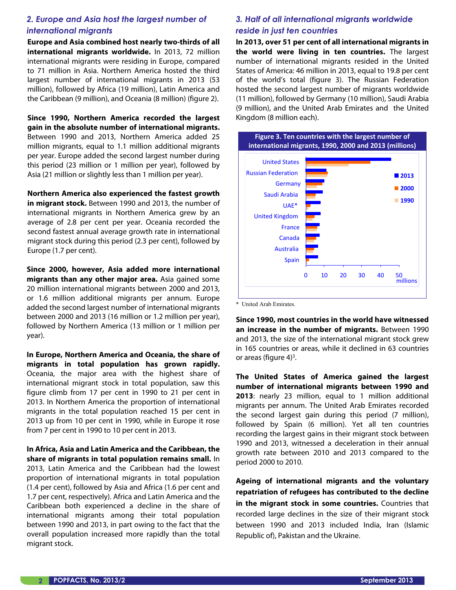## *2. Europe and Asia host the largest number of international migrants*

**Europe and Asia combined host nearly two-thirds of all international migrants worldwide.** In 2013, 72 million international migrants were residing in Europe, compared to 71 million in Asia. Northern America hosted the third largest number of international migrants in 2013 (53 million), followed by Africa (19 million), Latin America and the Caribbean (9 million), and Oceania (8 million) (figure 2).

**Since 1990, Northern America recorded the largest gain in the absolute number of international migrants.** Between 1990 and 2013, Northern America added 25 million migrants, equal to 1.1 million additional migrants per year. Europe added the second largest number during this period (23 million or 1 million per year), followed by Asia (21 million or slightly less than 1 million per year).

**Northern America also experienced the fastest growth in migrant stock.** Between 1990 and 2013, the number of international migrants in Northern America grew by an average of 2.8 per cent per year. Oceania recorded the second fastest annual average growth rate in international migrant stock during this period (2.3 per cent), followed by Europe (1.7 per cent).

**Since 2000, however, Asia added more international migrants than any other major area.** Asia gained some 20 million international migrants between 2000 and 2013, or 1.6 million additional migrants per annum. Europe added the second largest number of international migrants between 2000 and 2013 (16 million or 1.2 million per year), followed by Northern America (13 million or 1 million per year).

**In Europe, Northern America and Oceania, the share of migrants in total population has grown rapidly.** Oceania, the major area with the highest share of international migrant stock in total population, saw this figure climb from 17 per cent in 1990 to 21 per cent in 2013. In Northern America the proportion of international migrants in the total population reached 15 per cent in 2013 up from 10 per cent in 1990, while in Europe it rose from 7 per cent in 1990 to 10 per cent in 2013.

**In Africa, Asia and Latin America and the Caribbean, the share of migrants in total population remains small.** In 2013, Latin America and the Caribbean had the lowest proportion of international migrants in total population (1.4 per cent), followed by Asia and Africa (1.6 per cent and 1.7 per cent, respectively). Africa and Latin America and the Caribbean both experienced a decline in the share of international migrants among their total population between 1990 and 2013, in part owing to the fact that the overall population increased more rapidly than the total migrant stock.

## *3. Half of all international migrants worldwide reside in just ten countries*

**In 2013, over 51 per cent of all international migrants in the world were living in ten countries.** The largest number of international migrants resided in the United States of America: 46 million in 2013, equal to 19.8 per cent of the world's total (figure 3). The Russian Federation hosted the second largest number of migrants worldwide (11 million), followed by Germany (10 million), Saudi Arabia (9 million), and the United Arab Emirates and the United Kingdom (8 million each).



\* United Arab Emirates.

**Since 1990, most countries in the world have witnessed an increase in the number of migrants.** Between 1990 and 2013, the size of the international migrant stock grew in 165 countries or areas, while it declined in 63 countries or areas (figure  $4)^3$ .

**The United States of America gained the largest number of international migrants between 1990 and 2013**: nearly 23 million, equal to 1 million additional migrants per annum. The United Arab Emirates recorded the second largest gain during this period (7 million), followed by Spain (6 million). Yet all ten countries recording the largest gains in their migrant stock between 1990 and 2013, witnessed a deceleration in their annual growth rate between 2010 and 2013 compared to the period 2000 to 2010.

**Ageing of international migrants and the voluntary repatriation of refugees has contributed to the decline in the migrant stock in some countries.** Countries that recorded large declines in the size of their migrant stock between 1990 and 2013 included India, Iran (Islamic Republic of), Pakistan and the Ukraine.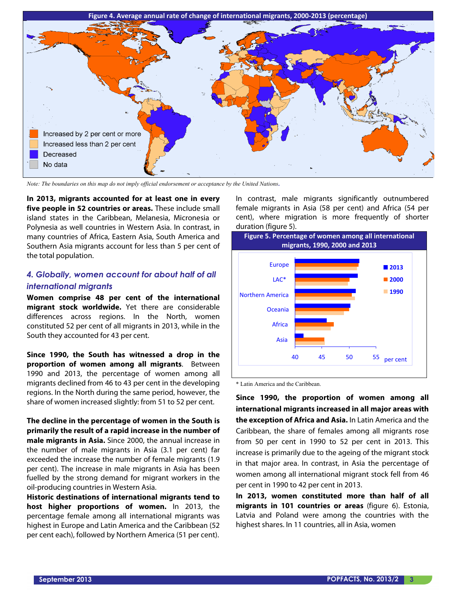

*Note: The boundaries on this map do not imply official endorsement or acceptance by the United Nations.* 

**In 2013, migrants accounted for at least one in every five people in 52 countries or areas.** These include small island states in the Caribbean, Melanesia, Micronesia or Polynesia as well countries in Western Asia. In contrast, in many countries of Africa, Eastern Asia, South America and Southern Asia migrants account for less than 5 per cent of the total population.

## *4. Globally, women account for about half of all international migrants*

**Women comprise 48 per cent of the international migrant stock worldwide.** Yet there are considerable differences across regions. In the North, women constituted 52 per cent of all migrants in 2013, while in the South they accounted for 43 per cent.

**Since 1990, the South has witnessed a drop in the proportion of women among all migrants**. Between 1990 and 2013, the percentage of women among all migrants declined from 46 to 43 per cent in the developing regions. In the North during the same period, however, the share of women increased slightly: from 51 to 52 per cent.

**The decline in the percentage of women in the South is primarily the result of a rapid increase in the number of male migrants in Asia.** Since 2000, the annual increase in the number of male migrants in Asia (3.1 per cent) far exceeded the increase the number of female migrants (1.9 per cent). The increase in male migrants in Asia has been fuelled by the strong demand for migrant workers in the oil-producing countries in Western Asia.

**Historic destinations of international migrants tend to host higher proportions of women.** In 2013, the percentage female among all international migrants was highest in Europe and Latin America and the Caribbean (52 per cent each), followed by Northern America (51 per cent).

In contrast, male migrants significantly outnumbered female migrants in Asia (58 per cent) and Africa (54 per cent), where migration is more frequently of shorter duration (figure 5).



\* Latin America and the Caribbean.

**Since 1990, the proportion of women among all international migrants increased in all major areas with the exception of Africa and Asia.** In Latin America and the Caribbean, the share of females among all migrants rose from 50 per cent in 1990 to 52 per cent in 2013. This increase is primarily due to the ageing of the migrant stock in that major area. In contrast, in Asia the percentage of women among all international migrant stock fell from 46 per cent in 1990 to 42 per cent in 2013.

**In 2013, women constituted more than half of all migrants in 101 countries or areas** (figure 6). Estonia, Latvia and Poland were among the countries with the highest shares. In 11 countries, all in Asia, women